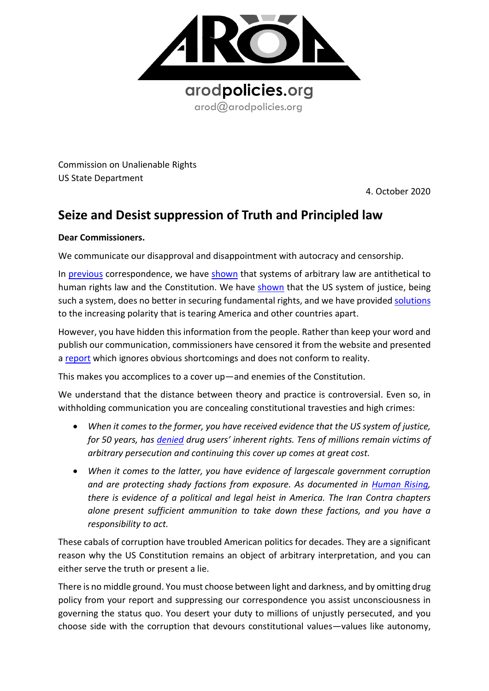

Commission on Unalienable Rights US State Department

4. October 2020

## **Seize and Desist suppression of Truth and Principled law**

## **Dear Commissioners.**

We communicate our disapproval and disappointment with autocracy and censorship.

In [previous](https://8c75b10d-e0b1-4d25-99ed-609c80001c6c.filesusr.com/ugd/a479b9_5e50f91e4e1e49408fc392a384e6d27d.pdf) correspondence, we have [shown](https://8c75b10d-e0b1-4d25-99ed-609c80001c6c.filesusr.com/ugd/a479b9_98a77d1d408c4130980f3b8900bba61f.pdf) that systems of arbitrary law are antithetical to human rights law and the Constitution. We have [shown](https://8c75b10d-e0b1-4d25-99ed-609c80001c6c.filesusr.com/ugd/a479b9_27c6a15fa27745cc89d6280133087a0b.pdf) that the US system of justice, being such a system, does no better in securing fundamental rights, and we have provided [solutions](https://8c75b10d-e0b1-4d25-99ed-609c80001c6c.filesusr.com/ugd/a479b9_98a77d1d408c4130980f3b8900bba61f.pdf) to the increasing polarity that is tearing America and other countries apart.

However, you have hidden this information from the people. Rather than keep your word and publish our communication, commissioners have censored it from the website and presented a [report](https://www.state.gov/report-of-the-commission-on-unalienable-rights/) which ignores obvious shortcomings and does not conform to reality.

This makes you accomplices to a cover up—and enemies of the Constitution.

We understand that the distance between theory and practice is controversial. Even so, in withholding communication you are concealing constitutional travesties and high crimes:

- *When it comes to the former, you have received evidence that the US system of justice, for 50 years, has [denied](https://8c75b10d-e0b1-4d25-99ed-609c80001c6c.filesusr.com/ugd/a479b9_98a77d1d408c4130980f3b8900bba61f.pdf) drug users' inherent rights. Tens of millions remain victims of arbitrary persecution and continuing this cover up comes at great cost.*
- *When it comes to the latter, you have evidence of largescale government corruption and are protecting shady factions from exposure. As documented in [Human Rising,](https://knowmadinstitut.org/2019/07/the-prohibitionist-psychosis-and-its-constitutional-implications/) there is evidence of a political and legal heist in America. The Iran Contra chapters alone present sufficient ammunition to take down these factions, and you have a responsibility to act.*

These cabals of corruption have troubled American politics for decades. They are a significant reason why the US Constitution remains an object of arbitrary interpretation, and you can either serve the truth or present a lie.

There is no middle ground. You must choose between light and darkness, and by omitting drug policy from your report and suppressing our correspondence you assist unconsciousness in governing the status quo. You desert your duty to millions of unjustly persecuted, and you choose side with the corruption that devours constitutional values—values like autonomy,